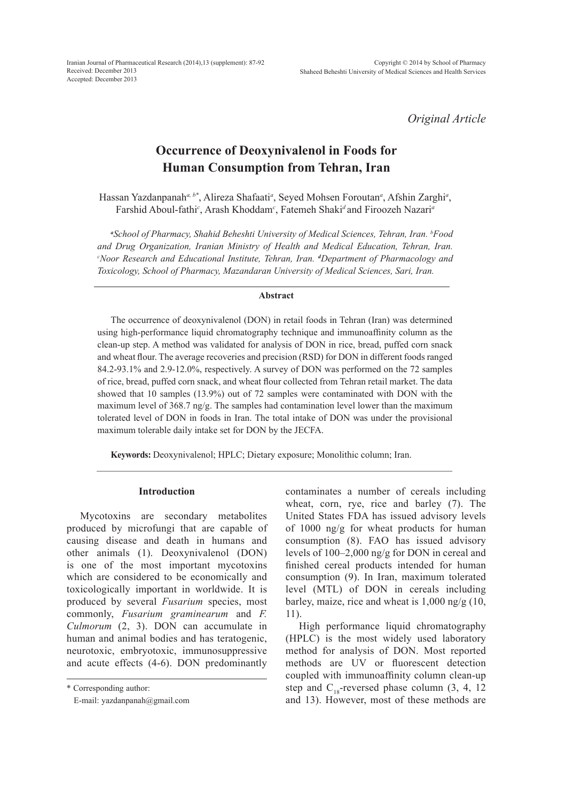Iranian Journal of Pharmaceutical Research (2014),13 (supplement): 87-92 Received: December 2013 Accepted: December 2013

*Original Article*

# **Occurrence of Deoxynivalenol in Foods for Human Consumption from Tehran, Iran**

Hassan Yazdanpanah*a, b\**, Alireza Shafaati*<sup>a</sup>* , Seyed Mohsen Foroutan*<sup>a</sup>* , Afshin Zarghi*<sup>a</sup>* , Farshid Aboul-fathi*<sup>c</sup>* , Arash Khoddam*<sup>c</sup>* , Fatemeh Shaki*<sup>d</sup>* and Firoozeh Nazari*<sup>a</sup>*

*a School of Pharmacy, Shahid Beheshti University of Medical Sciences, Tehran, Iran. b Food and Drug Organization, Iranian Ministry of Health and Medical Education, Tehran, Iran. c Noor Research and Educational Institute, Tehran, Iran. <sup>d</sup> Department of Pharmacology and Toxicology, School of Pharmacy, Mazandaran University of Medical Sciences, Sari, Iran.*

#### **Abstract**

The occurrence of deoxynivalenol (DON) in retail foods in Tehran (Iran) was determined using high-performance liquid chromatography technique and immunoaffinity column as the clean-up step. A method was validated for analysis of DON in rice, bread, puffed corn snack and wheat flour. The average recoveries and precision (RSD) for DON in different foods ranged 84.2-93.1% and 2.9-12.0%, respectively. A survey of DON was performed on the 72 samples of rice, bread, puffed corn snack, and wheat flour collected from Tehran retail market. The data showed that 10 samples (13.9%) out of 72 samples were contaminated with DON with the maximum level of 368.7 ng/g. The samples had contamination level lower than the maximum tolerated level of DON in foods in Iran. The total intake of DON was under the provisional maximum tolerable daily intake set for DON by the JECFA.

**Keywords:** Deoxynivalenol; HPLC; Dietary exposure; Monolithic column; Iran.

#### **Introduction**

Mycotoxins are secondary metabolites produced by microfungi that are capable of causing disease and death in humans and other animals (1). Deoxynivalenol (DON) is one of the most important mycotoxins which are considered to be economically and toxicologically important in worldwide. It is produced by several *Fusarium* species, most commonly, *Fusarium graminearum* and *F. Culmorum* (2, 3). DON can accumulate in human and animal bodies and has teratogenic, neurotoxic, embryotoxic, immunosuppressive and acute effects (4-6). DON predominantly

contaminates a number of cereals including wheat, corn, rye, rice and barley (7). The United States FDA has issued advisory levels of 1000 ng/g for wheat products for human consumption (8). FAO has issued advisory levels of 100–2,000 ng/g for DON in cereal and finished cereal products intended for human consumption (9). In Iran, maximum tolerated level (MTL) of DON in cereals including barley, maize, rice and wheat is 1,000 ng/g (10, 11).

High performance liquid chromatography (HPLC) is the most widely used laboratory method for analysis of DON. Most reported methods are UV or fluorescent detection coupled with immunoaffinity column clean-up step and  $C_{18}$ -reversed phase column (3, 4, 12 and 13). However, most of these methods are

<sup>\*</sup> Corresponding author:

E-mail: yazdanpanah@gmail.com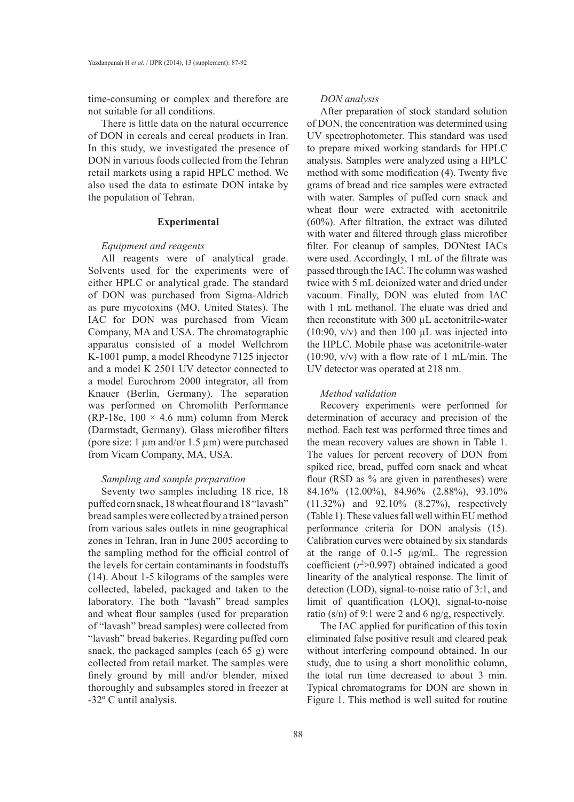time-consuming or complex and therefore are not suitable for all conditions.

There is little data on the natural occurrence of DON in cereals and cereal products in Iran. In this study, we investigated the presence of DON in various foods collected from the Tehran retail markets using a rapid HPLC method. We also used the data to estimate DON intake by the population of Tehran.

#### **Experimental**

### *Equipment and reagents*

All reagents were of analytical grade. Solvents used for the experiments were of either HPLC or analytical grade. The standard of DON was purchased from Sigma-Aldrich as pure mycotoxins (MO, United States). The IAC for DON was purchased from Vicam Company, MA and USA. The chromatographic apparatus consisted of a model Wellchrom K-1001 pump, a model Rheodyne 7125 injector and a model K 2501 UV detector connected to a model Eurochrom 2000 integrator, all from Knauer (Berlin, Germany). The separation was performed on Chromolith Performance (RP-18e,  $100 \times 4.6$  mm) column from Merck (Darmstadt, Germany). Glass microfiber filters (pore size: 1 µm and/or 1.5 µm) were purchased from Vicam Company, MA, USA.

## *Sampling and sample preparation*

Seventy two samples including 18 rice, 18 puffed corn snack, 18 wheat flour and 18 "lavash" bread samples were collected by a trained person from various sales outlets in nine geographical zones in Tehran, Iran in June 2005 according to the sampling method for the official control of the levels for certain contaminants in foodstuffs (14). About 1-5 kilograms of the samples were collected, labeled, packaged and taken to the laboratory. The both "lavash" bread samples and wheat flour samples (used for preparation of "lavash" bread samples) were collected from "lavash" bread bakeries. Regarding puffed corn snack, the packaged samples (each 65 g) were collected from retail market. The samples were finely ground by mill and/or blender, mixed thoroughly and subsamples stored in freezer at -32º C until analysis.

#### *DON analysis*

After preparation of stock standard solution of DON, the concentration was determined using UV spectrophotometer. This standard was used to prepare mixed working standards for HPLC analysis. Samples were analyzed using a HPLC method with some modification (4). Twenty five grams of bread and rice samples were extracted with water. Samples of puffed corn snack and wheat flour were extracted with acetonitrile (60%). After filtration, the extract was diluted with water and filtered through glass microfiber filter. For cleanup of samples, DONtest IACs were used. Accordingly, 1 mL of the filtrate was passed through the IAC. The column was washed twice with 5 mL deionized water and dried under vacuum. Finally, DON was eluted from IAC with 1 mL methanol. The eluate was dried and then reconstitute with 300 µL acetonitrile-water (10:90,  $v/v$ ) and then 100  $\mu$ L was injected into the HPLC. Mobile phase was acetonitrile-water (10:90, v/v) with a flow rate of 1 mL/min. The UV detector was operated at 218 nm.

#### *Method validation*

Recovery experiments were performed for determination of accuracy and precision of the method. Each test was performed three times and the mean recovery values are shown in Table 1. The values for percent recovery of DON from spiked rice, bread, puffed corn snack and wheat flour (RSD as % are given in parentheses) were 84.16% (12.00%), 84.96% (2.88%), 93.10% (11.32%) and 92.10% (8.27%), respectively (Table 1). These values fall well within EU method performance criteria for DON analysis (15). Calibration curves were obtained by six standards at the range of 0.1-5 µg/mL. The regression coefficient  $(r<sup>2</sup>>0.997)$  obtained indicated a good linearity of the analytical response. The limit of detection (LOD), signal-to-noise ratio of 3:1, and limit of quantification (LOQ), signal-to-noise ratio (s/n) of 9:1 were 2 and 6 ng/g, respectively.

The IAC applied for purification of this toxin eliminated false positive result and cleared peak without interfering compound obtained. In our study, due to using a short monolithic column, the total run time decreased to about 3 min. Typical chromatograms for DON are shown in Figure 1. This method is well suited for routine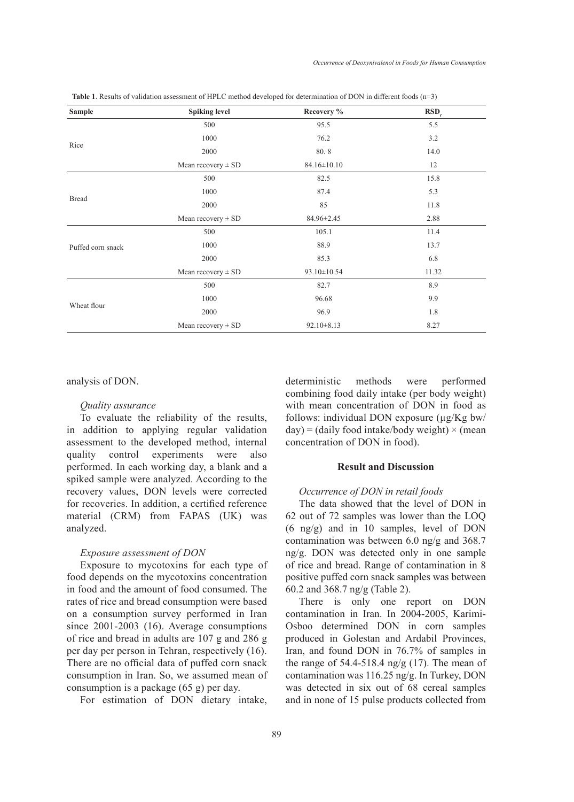| <b>Sample</b>     | <b>Spiking level</b>   | Recovery %        | RSD <sub>r</sub> |
|-------------------|------------------------|-------------------|------------------|
|                   | 500                    | 95.5              | 5.5              |
|                   | 1000                   | 76.2              | 3.2              |
| Rice              | 2000                   | 80.8              | 14.0             |
|                   | Mean recovery $\pm$ SD | $84.16 \pm 10.10$ | 12               |
|                   | 500                    | 82.5              | 15.8             |
|                   | 1000                   | 87.4              | 5.3              |
| <b>Bread</b>      | 2000                   | 85                | 11.8             |
|                   | Mean recovery $\pm$ SD | 84.96±2.45        | 2.88             |
| Puffed corn snack | 500                    | 105.1             | 11.4             |
|                   | 1000                   | 88.9              | 13.7             |
|                   | 2000                   | 85.3              | 6.8              |
|                   | Mean recovery $\pm$ SD | 93.10±10.54       | 11.32            |
|                   | 500                    | 82.7              | 8.9              |
|                   | 1000                   | 96.68             | 9.9              |
| Wheat flour       | 2000                   | 96.9              | 1.8              |
|                   | Mean recovery $\pm$ SD | $92.10 \pm 8.13$  | 8.27             |

**Table 1**. Results of validation assessment of HPLC method developed for determination of DON in different foods (n=3)

analysis of DON.

#### *Quality assurance*

To evaluate the reliability of the results, in addition to applying regular validation assessment to the developed method, internal quality control experiments were also performed. In each working day, a blank and a spiked sample were analyzed. According to the recovery values, DON levels were corrected for recoveries. In addition, a certified reference material (CRM) from FAPAS (UK) was analyzed.

# *Exposure assessment of DON*

Exposure to mycotoxins for each type of food depends on the mycotoxins concentration in food and the amount of food consumed. The rates of rice and bread consumption were based on a consumption survey performed in Iran since 2001-2003 (16). Average consumptions of rice and bread in adults are 107 g and 286 g per day per person in Tehran, respectively (16). There are no official data of puffed corn snack consumption in Iran. So, we assumed mean of consumption is a package (65 g) per day.

For estimation of DON dietary intake,

deterministic methods were performed combining food daily intake (per body weight) with mean concentration of DON in food as follows: individual DON exposure  $(\mu g/Kg)$  bw/  $day$ ) = (daily food intake/body weight)  $\times$  (mean concentration of DON in food).

# **Result and Discussion**

## *Occurrence of DON in retail foods*

The data showed that the level of DON in 62 out of 72 samples was lower than the LOQ (6 ng/g) and in 10 samples, level of DON contamination was between 6.0 ng/g and 368.7 ng/g. DON was detected only in one sample of rice and bread. Range of contamination in 8 positive puffed corn snack samples was between 60.2 and 368.7 ng/g (Table 2).

There is only one report on DON contamination in Iran. In 2004-2005, Karimi-Osboo determined DON in corn samples produced in Golestan and Ardabil Provinces, Iran, and found DON in 76.7% of samples in the range of 54.4-518.4 ng/g (17). The mean of contamination was 116.25 ng/g. In Turkey, DON was detected in six out of 68 cereal samples and in none of 15 pulse products collected from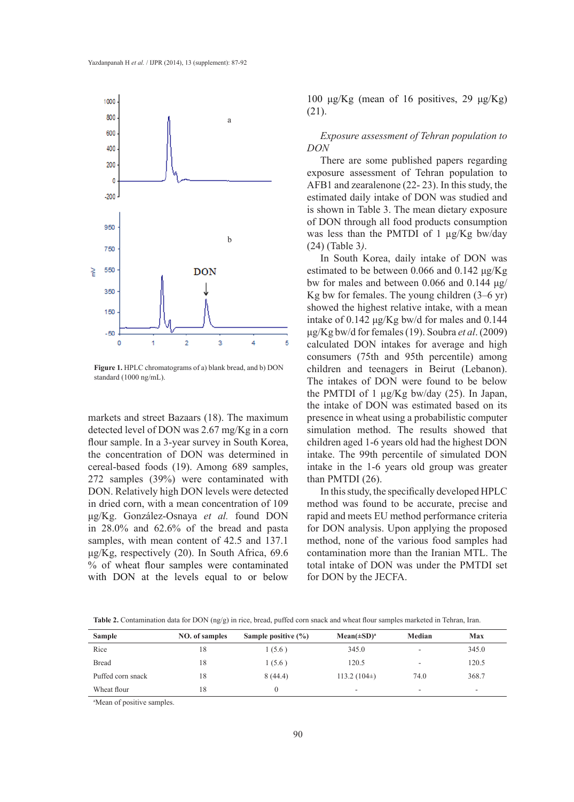

**Figure 1.** HPLC chromatograms of a) blank bread, and b) DON standard (1000 ng/mL).

markets and street Bazaars (18). The maximum detected level of DON was 2.67 mg/Kg in a corn flour sample. In a 3-year survey in South Korea, the concentration of DON was determined in cereal-based foods (19). Among 689 samples, 272 samples (39%) were contaminated with DON. Relatively high DON levels were detected in dried corn, with a mean concentration of 109 μg/Kg. González-Osnaya *et al.* found DON in 28.0% and 62.6% of the bread and pasta samples, with mean content of 42.5 and 137.1 μg/Kg, respectively (20). In South Africa, 69.6 % of wheat flour samples were contaminated with DON at the levels equal to or below

100 μg/Kg (mean of 16 positives, 29 μg/Kg) (21).

*Exposure assessment of Tehran population to DON*

There are some published papers regarding exposure assessment of Tehran population to AFB1 and zearalenone (22- 23). In this study, the estimated daily intake of DON was studied and is shown in Table 3. The mean dietary exposure of DON through all food products consumption was less than the PMTDI of 1 µg/Kg bw/day (24) (Table 3*)*.

In South Korea, daily intake of DON was estimated to be between 0.066 and 0.142 μg/Kg bw for males and between 0.066 and 0.144 μg/ Kg bw for females. The young children (3–6 yr) showed the highest relative intake, with a mean intake of 0.142 μg/Kg bw/d for males and 0.144 μg/Kg bw/d for females (19). Soubra *et al*. (2009) calculated DON intakes for average and high consumers (75th and 95th percentile) among children and teenagers in Beirut (Lebanon). The intakes of DON were found to be below the PMTDI of 1 µg/Kg bw/day (25). In Japan, the intake of DON was estimated based on its presence in wheat using a probabilistic computer simulation method. The results showed that children aged 1-6 years old had the highest DON intake. The 99th percentile of simulated DON intake in the 1-6 years old group was greater than PMTDI (26).

In this study, the specifically developed HPLC method was found to be accurate, precise and rapid and meets EU method performance criteria for DON analysis. Upon applying the proposed method, none of the various food samples had contamination more than the Iranian MTL. The total intake of DON was under the PMTDI set for DON by the JECFA.

| <b>Sample</b>     | <b>NO.</b> of samples | Sample positive $(\% )$ | $Mean(\pm SD)^a$ | Median | <b>Max</b>               |
|-------------------|-----------------------|-------------------------|------------------|--------|--------------------------|
| Rice              | 18                    | 1(5.6)                  | 345.0            | ۰      | 345.0                    |
| <b>Bread</b>      | 18                    | 1(5.6)                  | 120.5            | ۰      | 120.5                    |
| Puffed corn snack | 18                    | 8(44.4)                 | $113.2(104\pm)$  | 74.0   | 368.7                    |
| Wheat flour       | 18                    |                         |                  | ۰      | $\overline{\phantom{0}}$ |

**Table 2.** Contamination data for DON (ng/g) in rice, bread, puffed corn snack and wheat flour samples marketed in Tehran, Iran.

a Mean of positive samples.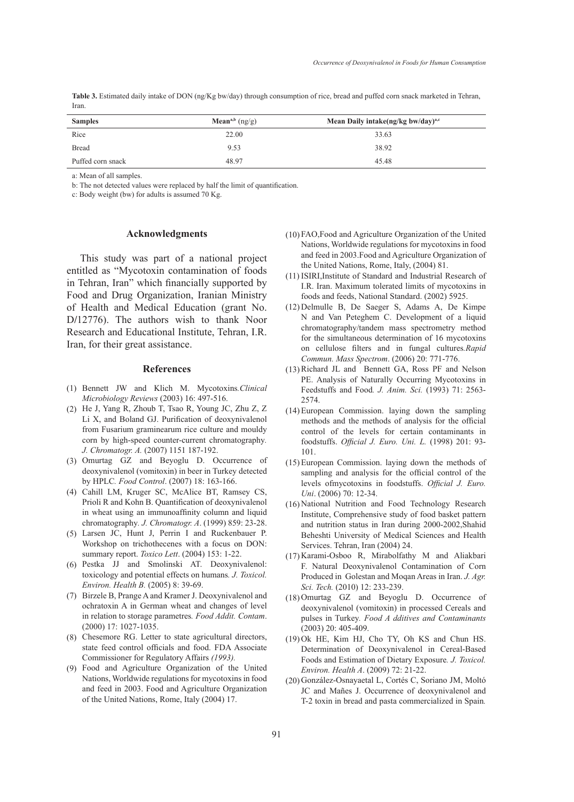**Table 3.** Estimated daily intake of DON (ng/Kg bw/day) through consumption of rice, bread and puffed corn snack marketed in Tehran, Iran.

| <b>Samples</b>    | Mean <sup>a,b</sup> $(ng/g)$ | Mean Daily intake(ng/kg bw/day) <sup>a,c</sup> |
|-------------------|------------------------------|------------------------------------------------|
| Rice              | 22.00                        | 33.63                                          |
| <b>Bread</b>      | 9.53                         | 38.92                                          |
| Puffed corn snack | 48.97                        | 45.48                                          |

a: Mean of all samples.

b: The not detected values were replaced by half the limit of quantification.

c: Body weight (bw) for adults is assumed 70 Kg.

#### **Acknowledgments**

This study was part of a national project entitled as "Mycotoxin contamination of foods in Tehran, Iran" which financially supported by Food and Drug Organization, Iranian Ministry of Health and Medical Education (grant No. D**/**12776). The authors wish to thank Noor Research and Educational Institute, Tehran, I.R. Iran, for their great assistance.

#### **References**

- Bennett JW and Klich M. Mycotoxins*.Clinical*  (1) *Microbiology Reviews* (2003) 16: 497-516.
- He J, Yang R, Zhoub T, Tsao R, Young JC, Zhu Z, Z (2) Li X, and Boland GJ. Purification of deoxynivalenol from Fusarium graminearum rice culture and mouldy corn by high-speed counter-current chromatography*. J. Chromatogr. A.* (2007) 1151 187-192.
- (3) Omurtag GZ and Beyoglu D. Occurrence of deoxynivalenol (vomitoxin) in beer in Turkey detected by HPLC*. Food Control*. (2007) 18: 163-166.
- Cahill LM, Kruger SC, McAlice BT, Ramsey CS, (4) Prioli R and Kohn B. Quantification of deoxynivalenol in wheat using an immunoaffinity column and liquid chromatography*. J. Chromatogr. A*. (1999) 859: 23-28.
- Larsen JC, Hunt J, Perrin I and Ruckenbauer P. (5) Workshop on trichothecenes with a focus on DON: summary report. *Toxico Lett*. (2004) 153: 1-22.
- Pestka JJ and Smolinski AT. Deoxynivalenol: (6) toxicology and potential effects on humans*. J. Toxicol. Environ. Health B.* (2005) 8: 39-69.
- Birzele B, Prange A and Kramer J. Deoxynivalenol and (7) ochratoxin A in German wheat and changes of level in relation to storage parametres*. Food Addit. Contam*. (2000) 17: 1027-1035.
- Chesemore RG. Letter to state agricultural directors, (8) state feed control officials and food. FDA Associate Commissioner for Regulatory Affairs *(1993).*
- Food and Agriculture Organization of the United (9) Nations, Worldwide regulations for mycotoxins in food and feed in 2003. Food and Agriculture Organization of the United Nations, Rome, Italy (2004) 17.
- FAO,Food and Agriculture Organization of the United (10) Nations, Worldwide regulations for mycotoxins in food and feed in 2003.Food and Agriculture Organization of the United Nations, Rome, Italy, (2004) 81.
- (11) ISIRI, Institute of Standard and Industrial Research of I.R. Iran. Maximum tolerated limits of mycotoxins in foods and feeds, National Standard. (2002) 5925.
- (12) Delmulle B, De Saeger S, Adams A, De Kimpe N and Van Peteghem C. Development of a liquid chromatography/tandem mass spectrometry method for the simultaneous determination of 16 mycotoxins on cellulose filters and in fungal cultures*.Rapid Commun. Mass Spectrom*. (2006) 20: 771-776.
- (13) Richard JL and Bennett GA, Ross PF and Nelson PE. Analysis of Naturally Occurring Mycotoxins in Feedstuffs and Food*. J. Anim. Sci.* (1993) 71: 2563- 2574.
- European Commission. laying down the sampling (14) methods and the methods of analysis for the official control of the levels for certain contaminants in foodstuffs. *Official J. Euro. Uni. L.* (1998) 201: 93- 101.
- (15) European Commission. laying down the methods of sampling and analysis for the official control of the levels ofmycotoxins in foodstuffs. *Official J. Euro. Uni*. (2006) 70: 12-34.
- (16) National Nutrition and Food Technology Research Institute, Comprehensive study of food basket pattern and nutrition status in Iran during 2000-2002,Shahid Beheshti University of Medical Sciences and Health Services. Tehran, Iran (2004) 24.
- (17) Karami-Osboo R, Mirabolfathy M and Aliakbari F. Natural Deoxynivalenol Contamination of Corn Produced in Golestan and Moqan Areas in Iran. *J. Agr. Sci. Tech.* (2010) 12: 233-239.
- (18) Omurtag GZ and Beyoglu D. Occurrence of deoxynivalenol (vomitoxin) in processed Cereals and pulses in Turkey*. Food A dditives and Contaminants* (2003) 20: 405-409.
- $(19)$  Ok HE, Kim HJ, Cho TY, Oh KS and Chun HS. Determination of Deoxynivalenol in Cereal-Based Foods and Estimation of Dietary Exposure*. J. Toxicol. Environ. Health A*. (2009) 72: 21-22.
- (20) González-Osnayaetal L, Cortés C, Soriano JM, Moltó JC and Mañes J. Occurrence of deoxynivalenol and T-2 toxin in bread and pasta commercialized in Spain*.*